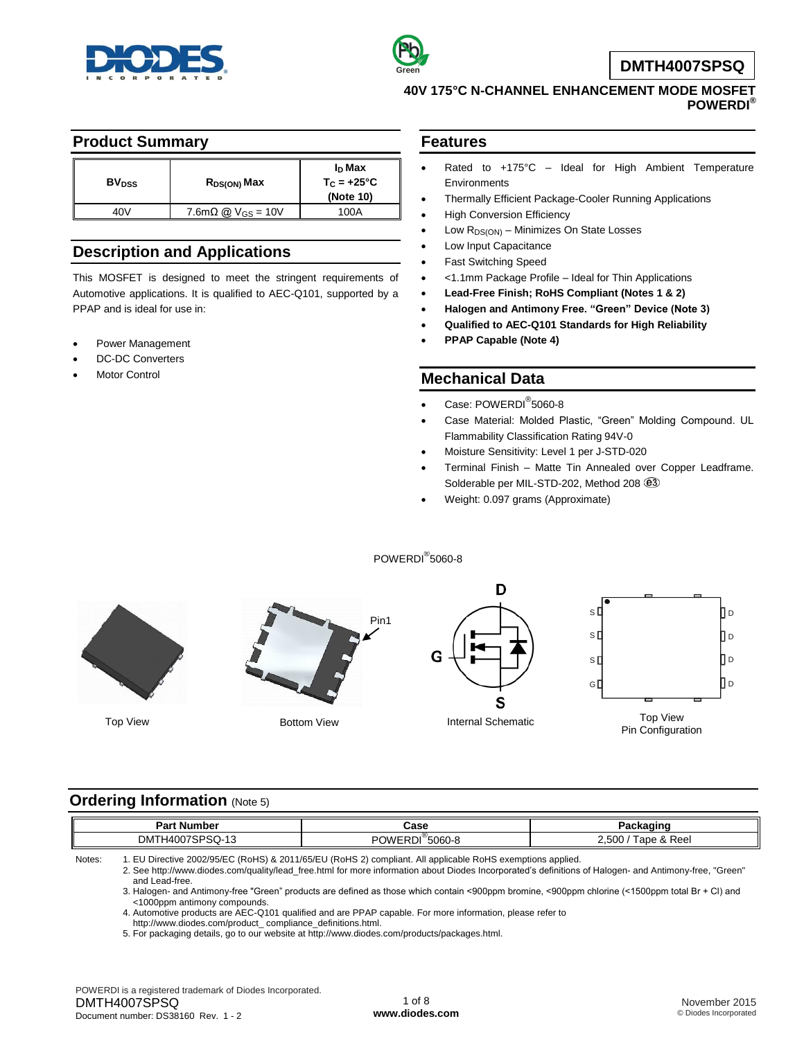



**DMTH4007SPSQ**

## **40V 175°C N-CHANNEL ENHANCEMENT MODE MOSFET POWERDI®**

### **Product Summary**

| <b>BV</b> <sub>DSS</sub> | R <sub>DS(ON)</sub> Max                      | I <sub>D</sub> Max<br>$T_{C} = +25^{\circ}C$<br>(Note 10) |
|--------------------------|----------------------------------------------|-----------------------------------------------------------|
| 40V                      | $7.6 \text{m}\Omega \text{ @ } V_{GS} = 10V$ | 100A                                                      |

## **Description and Applications**

This MOSFET is designed to meet the stringent requirements of Automotive applications. It is qualified to AEC-Q101, supported by a PPAP and is ideal for use in:

- Power Management
- DC-DC Converters
- Motor Control

### **Features**

- Rated to +175°C Ideal for High Ambient Temperature **Environments**
- Thermally Efficient Package-Cooler Running Applications
- High Conversion Efficiency
- Low R<sub>DS(ON)</sub> Minimizes On State Losses
- Low Input Capacitance
- Fast Switching Speed
- <1.1mm Package Profile Ideal for Thin Applications
- **Lead-Free Finish; RoHS Compliant (Notes 1 & 2)**
- **Halogen and Antimony Free. "Green" Device (Note 3)**
- **Qualified to AEC-Q101 Standards for High Reliability**
- **PPAP Capable (Note 4)**

## **Mechanical Data**

- Case: POWERDI<sup>®</sup>5060-8
- Case Material: Molded Plastic, "Green" Molding Compound. UL Flammability Classification Rating 94V-0
- Moisture Sensitivity: Level 1 per J-STD-020
- Terminal Finish Matte Tin Annealed over Copper Leadframe. Solderable per MIL-STD-202, Method 208  $@3$

s [

s [ s l

GÍ

Weight: 0.097 grams (Approximate)







Пo ПD Πo Пo Top View Top View Bottom View **Top View Reserve Top View Reserve Top View Reserve Top View** Pin Configuration

## **Ordering Information (Note 5)**

| Pan<br>. Number                           | Case           | ,akaaine<br>acna                         |  |
|-------------------------------------------|----------------|------------------------------------------|--|
| <sup>າ</sup> ባ7SPSQ-1ა<br><b>DMTH4007</b> | °5060-8<br>OWE | 500<br>& Reel<br>$\overline{\mathbf{u}}$ |  |

POWERDI® 5060-8

Notes: 1. EU Directive 2002/95/EC (RoHS) & 2011/65/EU (RoHS 2) compliant. All applicable RoHS exemptions applied.

2. See [http://www.diodes.com/quality/lead\\_free.html](http://www.diodes.com/quality/lead_free.html) for more information about Diodes Incorporated's definitions of Halogen- and Antimony-free, "Green" and Lead-free.

3. Halogen- and Antimony-free "Green" products are defined as those which contain <900ppm bromine, <900ppm chlorine (<1500ppm total Br + Cl) and <1000ppm antimony compounds.

4. Automotive products are AEC-Q101 qualified and are PPAP capable. For more information, please refer to

[http://www.diodes.com/product\\_](http://www.diodes.com/product_) compliance\_definitions.html.

5. For packaging details, go to our website at [http://www.diodes.com/products/packages.html.](http://www.diodes.com/products/packages.html)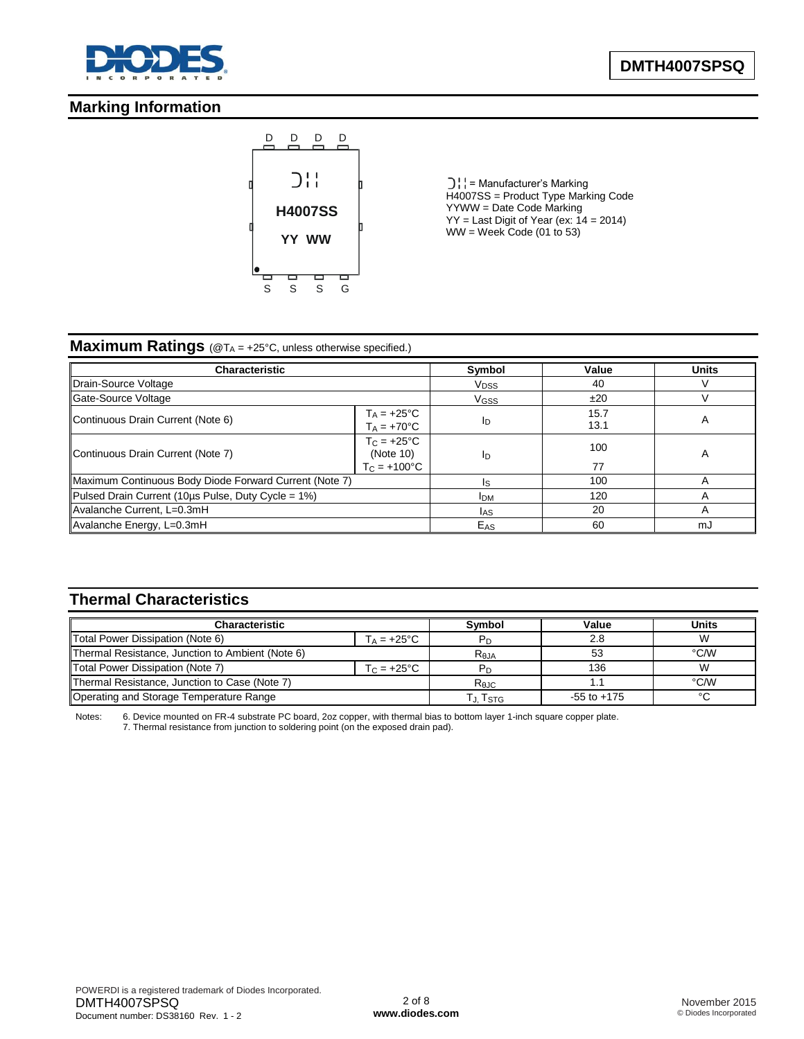

# **Marking Information**



 $\bigcup_i$  = Manufacturer's Marking H4007SS = Product Type Marking Code YYWW = Date Code Marking  $YY =$  Last Digit of Year (ex:  $14 = 2014$ )  $WW =$  Week Code (01 to 53)

## **Maximum Ratings** (@T<sub>A</sub> = +25°C, unless otherwise specified.)

| Characteristic                                                                                 |  | Symbol           | Value        | <b>Units</b>            |
|------------------------------------------------------------------------------------------------|--|------------------|--------------|-------------------------|
| Drain-Source Voltage                                                                           |  |                  | 40           |                         |
| Gate-Source Voltage                                                                            |  | V <sub>GSS</sub> | ±20          |                         |
| $T_A = +25^{\circ}C$<br>Continuous Drain Current (Note 6)<br>$T_A = +70^{\circ}C$              |  | ID               | 15.7<br>13.1 | $\overline{\mathsf{A}}$ |
| $T_{\rm C}$ = +25°C<br>Continuous Drain Current (Note 7)<br>(Note 10)<br>$T_C = +100^{\circ}C$ |  | ID               | 100<br>77    | A                       |
| Maximum Continuous Body Diode Forward Current (Note 7)                                         |  | 100              |              |                         |
| Pulsed Drain Current (10µs Pulse, Duty Cycle = 1%)                                             |  | <b>IDM</b>       | 120          |                         |
| Avalanche Current, L=0.3mH                                                                     |  | <b>IAS</b>       | 20           |                         |
| Avalanche Energy, L=0.3mH                                                                      |  | E <sub>AS</sub>  | 60           | mJ                      |

# **Thermal Characteristics**

| <b>Characteristic</b>                            |                      | <b>Symbol</b> | Value           | <b>Units</b> |
|--------------------------------------------------|----------------------|---------------|-----------------|--------------|
| Total Power Dissipation (Note 6)                 | $T_A = +25^{\circ}C$ |               | 2.8             |              |
| Thermal Resistance, Junction to Ambient (Note 6) |                      | $R_{0,IA}$    | 53              | °C/W         |
| Total Power Dissipation (Note 7)                 | $T_C = +25^{\circ}C$ |               | 136             |              |
| Thermal Resistance, Junction to Case (Note 7)    |                      | $R_{0,IC}$    |                 | °C/W         |
| Operating and Storage Temperature Range          |                      | ҇Ј. TsтG      | $-55$ to $+175$ | $\sim$       |

Notes: 6. Device mounted on FR-4 substrate PC board, 2oz copper, with thermal bias to bottom layer 1-inch square copper plate. 7. Thermal resistance from junction to soldering point (on the exposed drain pad).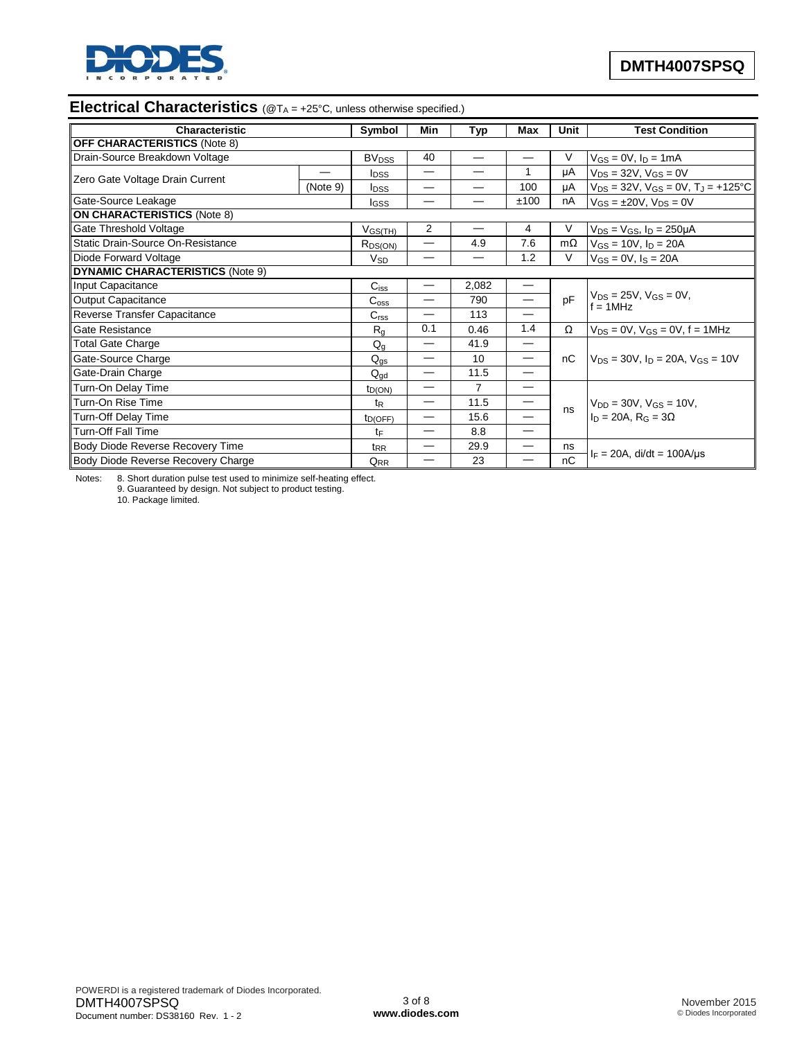

# **Electrical Characteristics** (@T<sub>A</sub> = +25°C, unless otherwise specified.)

| Characteristic                          |          | Symbol                  | Min                      | Typ   | Max                             | Unit      | <b>Test Condition</b>                                              |
|-----------------------------------------|----------|-------------------------|--------------------------|-------|---------------------------------|-----------|--------------------------------------------------------------------|
| <b>OFF CHARACTERISTICS (Note 8)</b>     |          |                         |                          |       |                                 |           |                                                                    |
| Drain-Source Breakdown Voltage          |          | <b>BV<sub>DSS</sub></b> | 40                       |       |                                 | V         | $V_{GS} = 0V$ , $I_D = 1mA$                                        |
| Zero Gate Voltage Drain Current         |          | <b>I</b> pss            | —                        |       |                                 | μA        | $V_{DS}$ = 32V, $V_{GS}$ = 0V                                      |
|                                         | (Note 9) | <b>I</b> <sub>DSS</sub> |                          |       | 100                             | μA        | $V_{DS}$ = 32V, $V_{GS}$ = 0V, $T_J$ = +125°C                      |
| Gate-Source Leakage                     |          | lgss                    | —                        |       | ±100                            | nA        | $V_{GS} = \pm 20V$ , $V_{DS} = 0V$                                 |
| <b>ON CHARACTERISTICS (Note 8)</b>      |          |                         |                          |       |                                 |           |                                                                    |
| <b>Gate Threshold Voltage</b>           |          | $V_{GS(TH)}$            | 2                        |       | 4                               | V         | $V_{DS} = V_{GS}$ , $I_D = 250 \mu A$                              |
| Static Drain-Source On-Resistance       |          | $R_{DS(ON)}$            | $\overline{\phantom{0}}$ | 4.9   | 7.6                             | $m\Omega$ | $V_{GS} = 10V$ , $I_D = 20A$                                       |
| Diode Forward Voltage                   |          | $V_{SD}$                |                          |       | 1.2                             | V         | $V_{GS} = 0V$ , $I_S = 20A$                                        |
| <b>DYNAMIC CHARACTERISTICS (Note 9)</b> |          |                         |                          |       |                                 |           |                                                                    |
| Input Capacitance                       |          | $C_{iss}$               |                          | 2,082 | $\hspace{0.1mm}-\hspace{0.1mm}$ |           |                                                                    |
| <b>Output Capacitance</b>               |          | $C_{\rm oss}$           |                          | 790   | $\overline{\phantom{0}}$        | pF        | $V_{DS} = 25V$ , $V_{GS} = 0V$ ,<br>$f = 1$ MHz                    |
| Reverse Transfer Capacitance            |          | C <sub>rss</sub>        |                          | 113   |                                 |           |                                                                    |
| Gate Resistance                         |          | $R_{q}$                 | 0.1                      | 0.46  | 1.4                             | Ω         | $V_{DS} = 0V$ , $V_{GS} = 0V$ , $f = 1MHz$                         |
| Total Gate Charge                       |          | $Q_{q}$                 |                          | 41.9  |                                 |           |                                                                    |
| Gate-Source Charge                      |          | $Q_{qs}$                |                          | 10    |                                 | nC        | $V_{DS}$ = 30V, $I_D$ = 20A, $V_{GS}$ = 10V                        |
| Gate-Drain Charge                       |          | $\rm Q_{\rm gd}$        |                          | 11.5  | $\overline{\phantom{m}}$        |           |                                                                    |
| Turn-On Delay Time                      |          | $t_{D(ON)}$             | —                        | 7     |                                 |           |                                                                    |
| Turn-On Rise Time                       |          | $t_{\mathsf{R}}$        | —                        | 11.5  | $\hspace{0.1mm}-\hspace{0.1mm}$ | ns        | $V_{DD} = 30V$ , $V_{GS} = 10V$ ,<br>$I_D = 20A$ , $R_G = 3\Omega$ |
| <b>Turn-Off Delay Time</b>              |          | $t_{D(OFF)}$            |                          | 15.6  |                                 |           |                                                                    |
| <b>Turn-Off Fall Time</b>               |          | tF                      |                          | 8.8   | $\overline{\phantom{0}}$        |           |                                                                    |
| Body Diode Reverse Recovery Time        |          | $t_{RR}$                |                          | 29.9  | —                               | ns        |                                                                    |
| Body Diode Reverse Recovery Charge      |          | $Q_{RR}$                |                          | 23    |                                 | nC        | $I_F = 20A$ , di/dt = 100A/µs                                      |

Notes: 8. Short duration pulse test used to minimize self-heating effect. 9. Guaranteed by design. Not subject to product testing.

10. Package limited.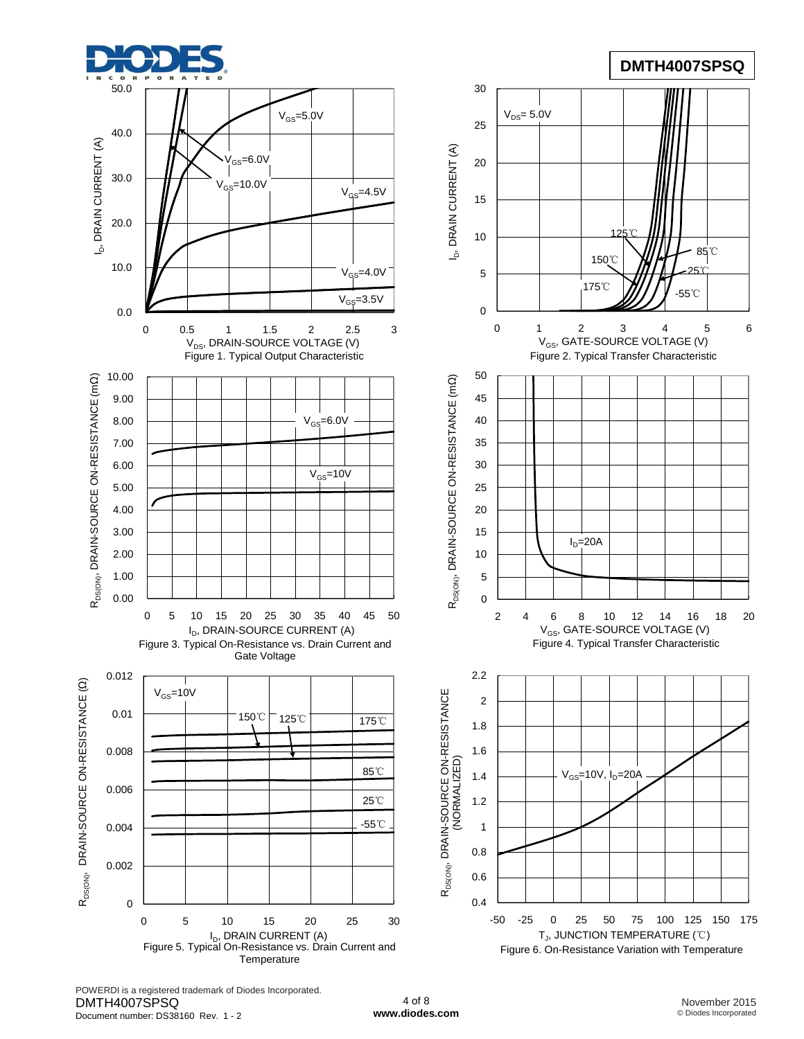





POWERDI is a registered trademark of Diodes Incorporated. DMTH4007SPSQ Document number: DS38160 Rev. 1 - 2

4 of 8 **[www.diodes.com](http://www.diodes.com)**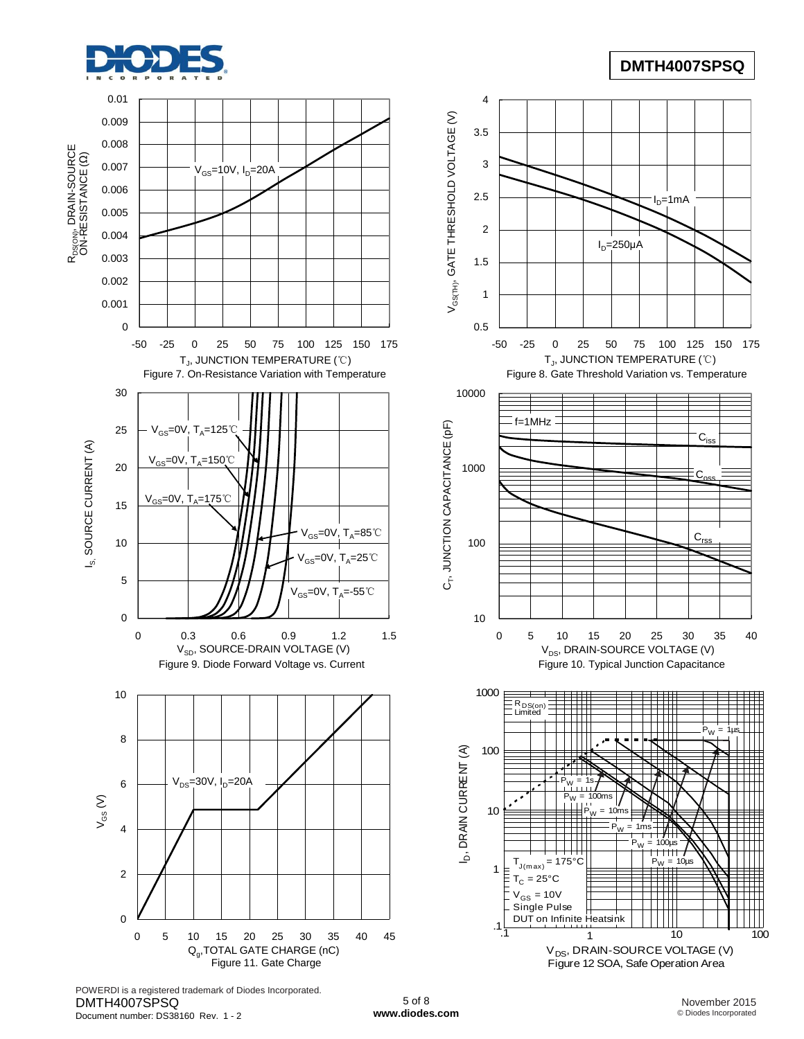

# **DMTH4007SPSQ**



POWERDI is a registered trademark of Diodes Incorporated. DMTH4007SPSQ Document number: DS38160 Rev. 1 - 2

5 of 8 **[www.diodes.com](http://www.diodes.com)**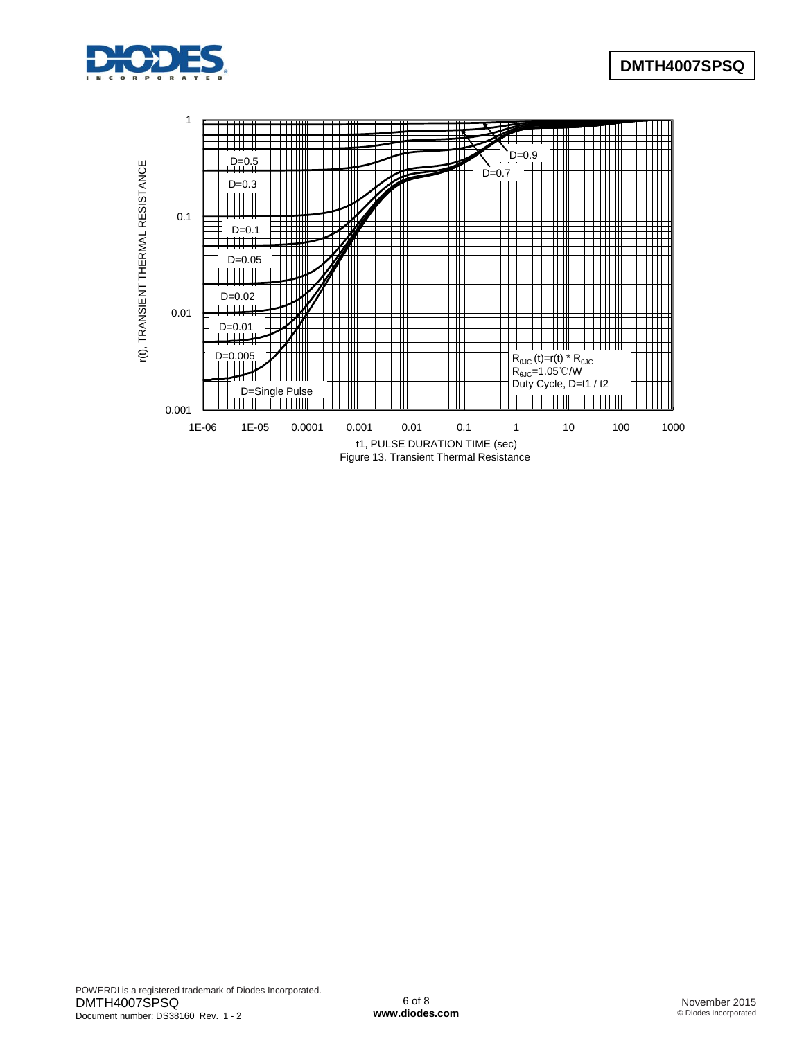

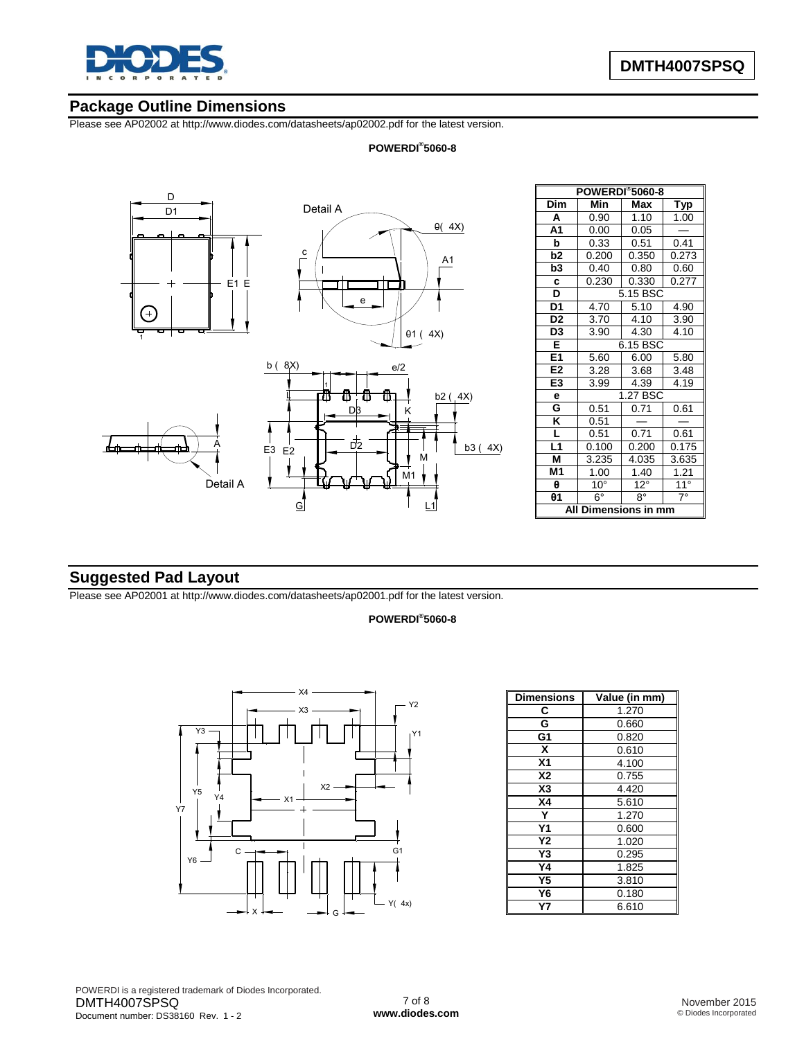

# **Package Outline Dimensions**

Please see AP02002 at [http://www.diodes.com/datasheets/ap02002.pdf fo](http://www.diodes.com/datasheets/ap02002.pdf)r the latest version.

### **POWERDI® 5060-8**



| <b>POWERDI</b> ®5060-8  |                 |              |              |  |  |
|-------------------------|-----------------|--------------|--------------|--|--|
| Dim                     | Min             | Max          | <b>Typ</b>   |  |  |
| A                       | 0.90            | 1.10         | 1.00         |  |  |
| A <sub>1</sub>          | 0.00            | 0.05         |              |  |  |
| þ                       | 0.33            | 0.51         | 0.41         |  |  |
| b2                      | 0.200           | 0.350        | 0.273        |  |  |
| b3                      | 0.40            | 0.80         | 0.60         |  |  |
| c                       | 0.230           | 0.330        | 0.277        |  |  |
| <u>D</u>                |                 | 5.15 BSC     |              |  |  |
| D <sub>1</sub>          | 4.70            | 5.10         | 4.90         |  |  |
| D <sub>2</sub>          | 3.70            | 4.10         | 3.90         |  |  |
| $\overline{D3}$         | 3.90            | 4.30         | 4.10         |  |  |
| E                       | 6.15 BSC        |              |              |  |  |
| E1                      | 5.60<br>6.00    |              | 5.80         |  |  |
| E <sub>2</sub>          | 3.28            | 3.68         | 3.48         |  |  |
| E3                      | 3.99            | 4.39         | 4.19         |  |  |
| е                       | 1.27 BSC        |              |              |  |  |
| G                       | 0.51            | 0.71         | 0.61         |  |  |
| $\overline{\mathsf{K}}$ | 0.51            |              |              |  |  |
| L                       | 0.51            | 0.71         | 0.61         |  |  |
| L1                      | 0.100           | 0.200        | 0.175        |  |  |
| M                       | 3.235           | 4.035        | 3.635        |  |  |
| M1                      | 1.00            | 1.40         | 1.21         |  |  |
| θ                       | 10 <sup>°</sup> | $12^{\circ}$ | $11^{\circ}$ |  |  |
| $\theta$ 1              | $6^{\circ}$     | g۰           | $7^\circ$    |  |  |
| All<br>Dimensions in mm |                 |              |              |  |  |

# **Suggested Pad Layout**

Please see AP02001 at [http://www.diodes.com/datasheets/ap02001.pdf fo](http://www.diodes.com/datasheets/ap02001.pdf)r the latest version.

### **POWERDI® 5060-8**



| <b>Dimensions</b> | Value (in mm) |
|-------------------|---------------|
| С                 | 1.270         |
| G                 | 0.660         |
| G1                | 0.820         |
| X                 | 0.610         |
| X <sub>1</sub>    | 4.100         |
| <b>X2</b>         | 0.755         |
| X <sub>3</sub>    | 4.420         |
| <b>X4</b>         | 5.610         |
| Y                 | 1.270         |
| Υ1                | 0.600         |
| Υ2                | 1.020         |
| Y3                | 0.295         |
| Υ4                | 1.825         |
| Υ5                | 3.810         |
| Y6                | 0.180         |
| Υ7                | 6.610         |